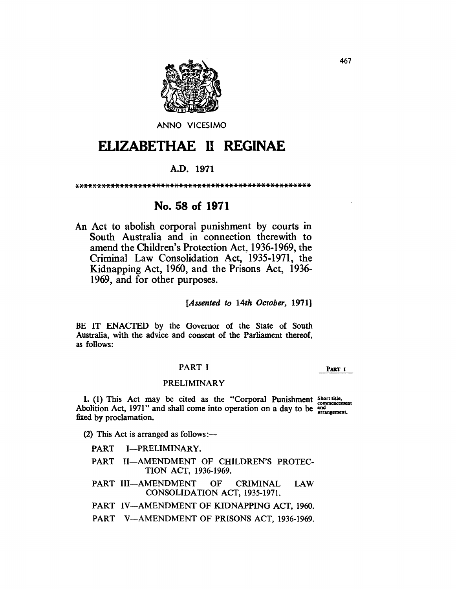

ANNO VICESIMO

# **ELIZABETHAE 11 REGINAE**

# A.D. 1971

\*\*\*\*\*\*\*\*\*\*\*\*\*\*\*\*\*\*\*\*\*\*\*\*\*\*\*\*\*\*\*\*\*\*\*\*\*\*\*\*\*\*\*\*\*\*\*\*\*\*\*\*

# No. 58 of 1971

An Act to abolish corporal punishment by courts in South Australia and in connection therewith to amend the Children's Protection Act, 1936-1969, the Criminal Law Consolidation Act, 1935-1971, the Kidnapping Act, 1960, and the Prisons Act, 1936- 1969, and for other purposes.

*[Assented to 14th October, 1971]* 

BE IT ENACTED by the Governor of the State of South Australia, with the advice and consent of the Parliament thereof, as follows:

# PART I

PART I

#### PRELIMINARY

1. (1) This Act may be cited as the "Corporal Punishment  $S<sub>hort title</sub>$ Abolition Act, 1971" and shall come into operation on a day to be and fixed by proclamation.

- (2) This Act is arranged as follows: $-$ 
	- PART I-PRELIMINARY.
	- PART II-AMENDMENT OF CHILDREN'S PROTEC-TION ACT, 1936-1969.
	- PART III-AMENDMENT OF CRIMINAL LAW CONSOLIDATION ACT, 1935-1971.

PART IV-AMENDMENT OF KIDNAPPING ACT, 1960.

PART V-AMENDMENT OF PRISONS ACT, 1936-1969.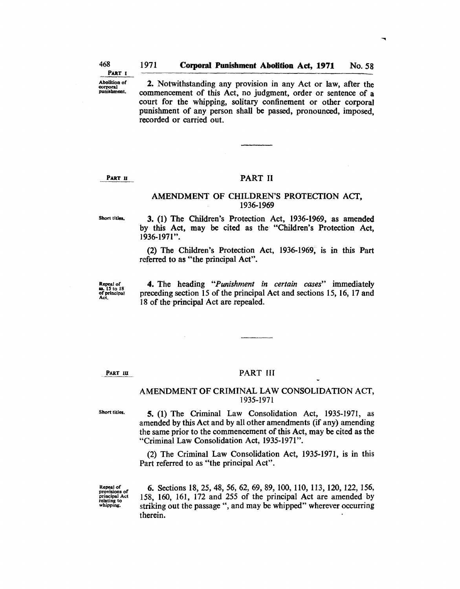Abolition of 2. Notwithstanding any provision in any Act or law, after the commencement of this Act no judgment order or sentence of a commencement of this Act, no judgment, order or sentence of a court for the whipping, solitary confinement or other corporal punishment of any person shall be passed, pronounced, imposed, recorded or carried out.

#### PART II PART II

#### AMENDMENT OF CHILDREN'S PROTECTION ACT, 1936-1969

Short titles.

3. (1) The Children's Protection Act, 1936-1969, as amended by this Act, may be cited as the "Children's Protection Act, 1936-1971" .

(2) The Children's Protection Act, 1936-1969, is in this Part referred to as "the principal Act".

Repeal of<br>88. 15 to 18<br>of principal<br>Act.

4. The heading *"Punishment in certain cases"* immediately preceding section 15 of the principal Act and sections 15, 16, 17 and 18 of the principal Act are repealed.

PART III

#### PART III

#### AMENDMENT OF CRIMINAL LAW CONSOLIDATION ACT, 1935-1971

Short titles.

5. (1) The Criminal Law Consolidation Act, 1935-1971, as amended by this Act and by all other amendments (if any) amending the same prior to the commencement of this Act, may be cited as the "Criminal Law Consolidation Act, 1935-1971".

(2) The Criminal Law Consolidation Act, 1935-1971, is in this Part referred to as "the principal Act".

Repeal of provisions of principal Act relating to whipping.

6. Sections 18, 25, 48, 56, 62, 69, 89, 100, 110, 113, 120, 122, 156, 158, 160, 161, 172 and 255 of the principal Act are amended by striking out the passage ", and may be whipped" wherever occurring therein.

PART I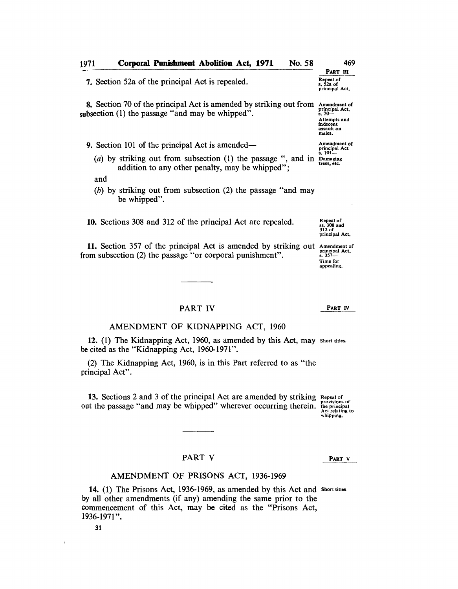| 1971                                                                                                                      | <b>Corporal Punishment Abolition Act, 1971</b><br>No. 58                                                                      | 469                                                                                            |
|---------------------------------------------------------------------------------------------------------------------------|-------------------------------------------------------------------------------------------------------------------------------|------------------------------------------------------------------------------------------------|
|                                                                                                                           |                                                                                                                               | PART III                                                                                       |
|                                                                                                                           | 7. Section 52a of the principal Act is repealed.                                                                              | Repeal of<br>s. 52a of<br>principal Act.                                                       |
|                                                                                                                           | <b>8.</b> Section 70 of the principal Act is amended by striking out from<br>subsection (1) the passage "and may be whipped". | Amendment of<br>principal Act,<br>$3.70 -$<br>Attempts and<br>indecent<br>assault on<br>males. |
| <b>9.</b> Section 101 of the principal Act is amended—                                                                    |                                                                                                                               | Amendment of<br>principal Act<br>$s.101 -$<br>Damaging<br>trees, etc.                          |
| (a) by striking out from subsection $(1)$ the passage ", and in<br>addition to any other penalty, may be whipped";<br>and |                                                                                                                               |                                                                                                |
|                                                                                                                           | (b) by striking out from subsection (2) the passage "and may<br>be whipped".                                                  |                                                                                                |
|                                                                                                                           | 10. Sections 308 and 312 of the principal Act are repealed.                                                                   | Repeal of<br>ss. 308 and<br>312 of<br>principal Act.                                           |
|                                                                                                                           | 11. Section 357 of the principal Act is amended by striking out<br>from subsection (2) the passage "or corporal punishment".  | Amendment of<br>principal Act,<br>$s.357-$                                                     |

## PART IV

PART IV

Time for appealing.

## AMENDMENT OF KIDNAPPING ACT, 1960

12. (1) The Kidnapping Act, 1960, as amended by this Act, may short titles. be cited as the "Kidnapping Act, 1960-1971".

(2) The Kidnapping Act, 1960, is in this Part referred to as "the principal Act".

13. Sections 2 and 3 of the principal Act are amended by striking out the passage "and may be whipped" wherever occurring therein. Repeal of provisions of the principal Act relating to whipping.

PART V

#### AMENDMENT OF PRISONS ACT, 1936-1969

PART V

14. (1) The Prisons Act, 1936-1969, as amended by this Act and Short titles. by all other amendments (if any) amending the same prior to the commencement of this Act, may be cited as the "Prisons Act, 1936-1971" .

31

 $\bar{1}$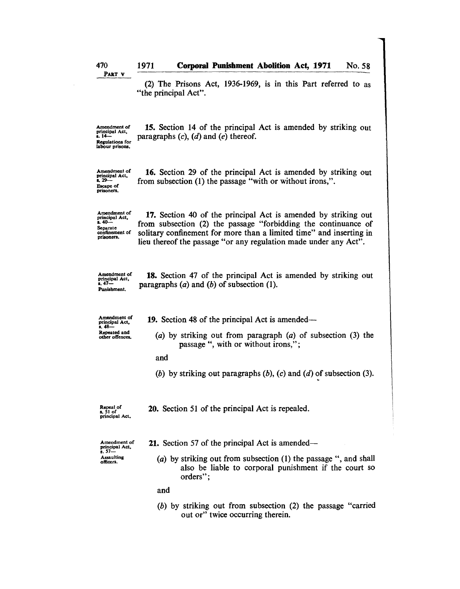| 470                                                                                    | 1971<br><b>Corporal Punishment Abolition Act, 1971</b><br>No. 58                                                                                                                                                                                                            |
|----------------------------------------------------------------------------------------|-----------------------------------------------------------------------------------------------------------------------------------------------------------------------------------------------------------------------------------------------------------------------------|
| PART V                                                                                 | (2) The Prisons Act, 1936-1969, is in this Part referred to as<br>"the principal Act".                                                                                                                                                                                      |
| Amendment of<br>principal Act,<br>s. 14—<br><b>Regulations for</b><br>labour prisons.  | 15. Section 14 of the principal Act is amended by striking out<br>paragraphs $(c)$ , $(d)$ and $(e)$ thereof.                                                                                                                                                               |
| Amendment of<br>principal Act,<br>$8, 29 -$<br><b>Escape of</b><br>prisoners.          | 16. Section 29 of the principal Act is amended by striking out<br>from subsection (1) the passage "with or without irons,".                                                                                                                                                 |
| Amendment of<br>principal Act,<br>$8.40 -$<br>Separate<br>confinement of<br>prisoners. | 17. Section 40 of the principal Act is amended by striking out<br>from subsection (2) the passage "forbidding the continuance of<br>solitary confinement for more than a limited time" and inserting in<br>lieu thereof the passage "or any regulation made under any Act". |
| Amendment of<br>principal Act,<br>$8.47 -$<br>Punishment,                              | <b>18.</b> Section 47 of the principal Act is amended by striking out<br>paragraphs $(a)$ and $(b)$ of subsection $(1)$ .                                                                                                                                                   |
| Amendment of<br>principal Act,                                                         | <b>19.</b> Section 48 of the principal Act is amended—                                                                                                                                                                                                                      |
| s. 48-<br>Repeated and<br>other offences.                                              | (a) by striking out from paragraph $(a)$ of subsection $(3)$ the<br>passage ", with or without irons,";                                                                                                                                                                     |
|                                                                                        | and                                                                                                                                                                                                                                                                         |
|                                                                                        | (b) by striking out paragraphs $(b)$ , $(c)$ and $(d)$ of subsection (3).                                                                                                                                                                                                   |
| Repeal of<br>s. 51 of<br>principal Act.                                                | 20. Section 51 of the principal Act is repealed.                                                                                                                                                                                                                            |
| Amendment of<br>principal Act.                                                         | 21. Section 57 of the principal Act is amended—                                                                                                                                                                                                                             |
| $s.57-$<br>Assaulting<br>officers.                                                     | (a) by striking out from subsection (1) the passage ", and shall<br>also be liable to corporal punishment if the court so<br>orders";                                                                                                                                       |
|                                                                                        | and                                                                                                                                                                                                                                                                         |
|                                                                                        | $(b)$ by striking out from subsection (2) the passage "carried<br>out or" twice occurring therein.                                                                                                                                                                          |